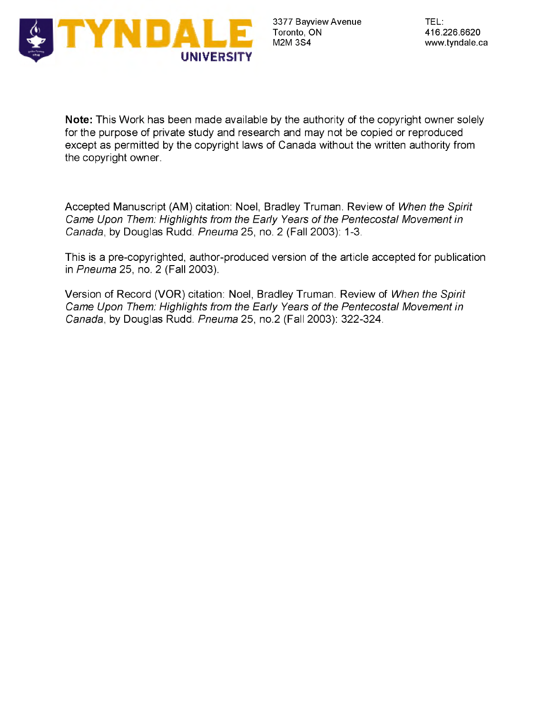

**Note:** This Work has been made available by the authority of the copyright owner solely for the purpose of private study and research and may not be copied or reproduced except as permitted by the copyright laws of Canada without the written authority from the copyright owner.

Accepted Manuscript (AM) citation: Noel, Bradley Truman. Review of *When the Spirit Came Upon Them: Highlights from the Early Years of the Pentecostal Movement in Canada*, by Douglas Rudd. *Pneuma* 25, no. 2 (Fall 2003): 1-3.

This is a pre-copyrighted, author-produced version of the article accepted for publication in *Pneuma* 25, no. 2 (Fall 2003).

Version of Record (VOR) citation: Noel, Bradley Truman. Review of *When the Spirit Came Upon Them: Highlights from the Early Years of the Pentecostal Movement in Canada*, by Douglas Rudd. *Pneuma* 25, no.2 (Fall 2003): 322-324.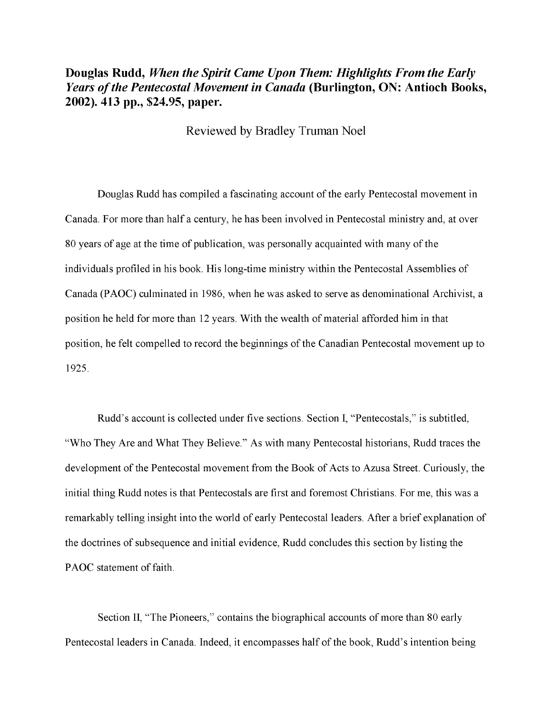## **Douglas Rudd,** *When the Spirit Came Upon Them: Highlights From the Early Years of the Pentecostal Movement in Canada* **(Burlington, ON: Antioch Books, 2002). 413 pp., \$24.95, paper.**

Reviewed by Bradley Truman Noel

Douglas Rudd has compiled a fascinating account of the early Pentecostal movement in Canada. For more than half a century, he has been involved in Pentecostal ministry and, at over 80 years of age at the time of publication, was personally acquainted with many of the individuals profiled in his book. His long-time ministry within the Pentecostal Assemblies of Canada (PAOC) culminated in 1986, when he was asked to serve as denominational Archivist, a position he held for more than 12 years. With the wealth of material afforded him in that position, he felt compelled to record the beginnings of the Canadian Pentecostal movement up to 1925.

Rudd's account is collected under five sections. Section I, "Pentecostals," is subtitled, "Who They Are and What They Believe." As with many Pentecostal historians, Rudd traces the development of the Pentecostal movement from the Book of Acts to Azusa Street. Curiously, the initial thing Rudd notes is that Pentecostals are first and foremost Christians. For me, this was a remarkably telling insight into the world of early Pentecostal leaders. After a brief explanation of the doctrines of subsequence and initial evidence, Rudd concludes this section by listing the PAOC statement of faith.

Section II, "The Pioneers," contains the biographical accounts of more than 80 early Pentecostal leaders in Canada. Indeed, it encompasses half of the book, Rudd's intention being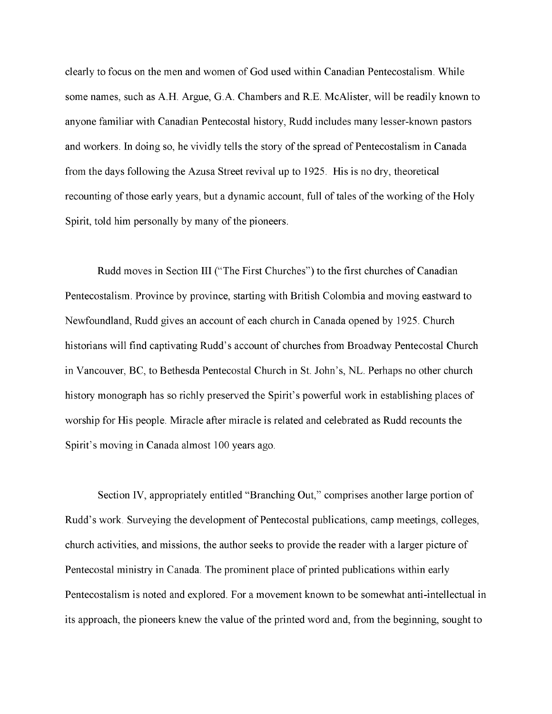clearly to focus on the men and women of God used within Canadian Pentecostalism. While some names, such as A.H. Argue, G.A. Chambers and R.E. McAlister, will be readily known to anyone familiar with Canadian Pentecostal history, Rudd includes many lesser-known pastors and workers. In doing so, he vividly tells the story of the spread of Pentecostalism in Canada from the days following the Azusa Street revival up to 1925. His is no dry, theoretical recounting of those early years, but a dynamic account, full of tales of the working of the Holy Spirit, told him personally by many of the pioneers.

Rudd moves in Section III ("The First Churches") to the first churches of Canadian Pentecostalism. Province by province, starting with British Colombia and moving eastward to Newfoundland, Rudd gives an account of each church in Canada opened by 1925. Church historians will find captivating Rudd's account of churches from Broadway Pentecostal Church in Vancouver, BC, to Bethesda Pentecostal Church in St. John's, NL. Perhaps no other church history monograph has so richly preserved the Spirit's powerful work in establishing places of worship for His people. Miracle after miracle is related and celebrated as Rudd recounts the Spirit's moving in Canada almost 100 years ago.

Section IV, appropriately entitled "Branching Out," comprises another large portion of Rudd's work. Surveying the development of Pentecostal publications, camp meetings, colleges, church activities, and missions, the author seeks to provide the reader with a larger picture of Pentecostal ministry in Canada. The prominent place of printed publications within early Pentecostalism is noted and explored. For a movement known to be somewhat anti-intellectual in its approach, the pioneers knew the value of the printed word and, from the beginning, sought to